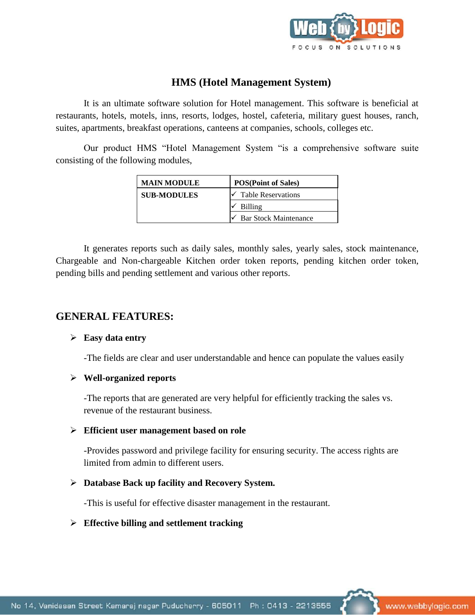

# **HMS (Hotel Management System)**

It is an ultimate software solution for Hotel management. This software is beneficial at restaurants, hotels, motels, inns, resorts, lodges, hostel, cafeteria, military guest houses, ranch, suites, apartments, breakfast operations, canteens at companies, schools, colleges etc.

Our product HMS "Hotel Management System "is a comprehensive software suite consisting of the following modules,

| <b>MAIN MODULE</b> | <b>POS(Point of Sales)</b>   |
|--------------------|------------------------------|
| <b>SUB-MODULES</b> | Table Reservations           |
|                    | Billing                      |
|                    | <b>Bar Stock Maintenance</b> |

It generates reports such as daily sales, monthly sales, yearly sales, stock maintenance, Chargeable and Non-chargeable Kitchen order token reports, pending kitchen order token, pending bills and pending settlement and various other reports.

# **GENERAL FEATURES:**

#### **Easy data entry**

-The fields are clear and user understandable and hence can populate the values easily

# **Well-organized reports**

-The reports that are generated are very helpful for efficiently tracking the sales vs. revenue of the restaurant business.

# **Efficient user management based on role**

-Provides password and privilege facility for ensuring security. The access rights are limited from admin to different users.

# **Database Back up facility and Recovery System.**

-This is useful for effective disaster management in the restaurant.

# **Effective billing and settlement tracking**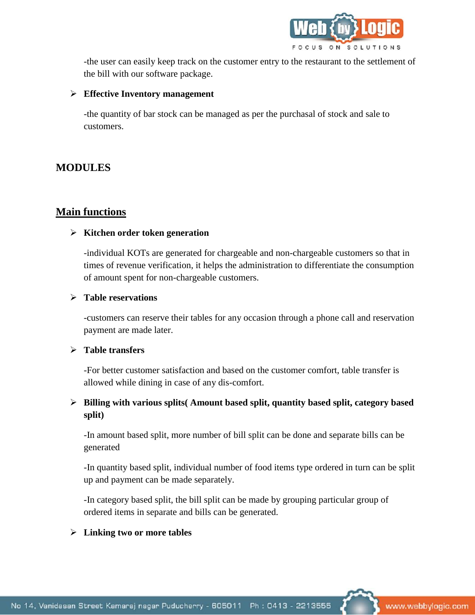

-the user can easily keep track on the customer entry to the restaurant to the settlement of the bill with our software package.

# **Effective Inventory management**

-the quantity of bar stock can be managed as per the purchasal of stock and sale to customers.

# **MODULES**

# **Main functions**

#### **Kitchen order token generation**

-individual KOTs are generated for chargeable and non-chargeable customers so that in times of revenue verification, it helps the administration to differentiate the consumption of amount spent for non-chargeable customers.

#### **Table reservations**

-customers can reserve their tables for any occasion through a phone call and reservation payment are made later.

#### **Table transfers**

-For better customer satisfaction and based on the customer comfort, table transfer is allowed while dining in case of any dis-comfort.

# **Billing with various splits( Amount based split, quantity based split, category based split)**

-In amount based split, more number of bill split can be done and separate bills can be generated

-In quantity based split, individual number of food items type ordered in turn can be split up and payment can be made separately.

-In category based split, the bill split can be made by grouping particular group of ordered items in separate and bills can be generated.

# **Linking two or more tables**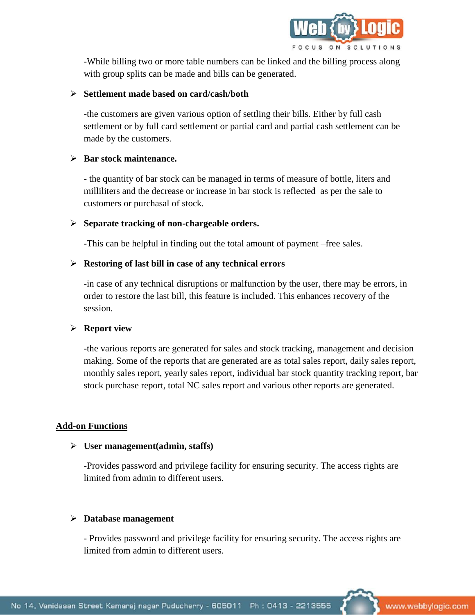

-While billing two or more table numbers can be linked and the billing process along with group splits can be made and bills can be generated.

#### **Settlement made based on card/cash/both**

-the customers are given various option of settling their bills. Either by full cash settlement or by full card settlement or partial card and partial cash settlement can be made by the customers.

#### **Bar stock maintenance.**

- the quantity of bar stock can be managed in terms of measure of bottle, liters and milliliters and the decrease or increase in bar stock is reflected as per the sale to customers or purchasal of stock.

#### **Separate tracking of non-chargeable orders.**

-This can be helpful in finding out the total amount of payment –free sales.

#### **Restoring of last bill in case of any technical errors**

-in case of any technical disruptions or malfunction by the user, there may be errors, in order to restore the last bill, this feature is included. This enhances recovery of the session.

# **Report view**

-the various reports are generated for sales and stock tracking, management and decision making. Some of the reports that are generated are as total sales report, daily sales report, monthly sales report, yearly sales report, individual bar stock quantity tracking report, bar stock purchase report, total NC sales report and various other reports are generated.

# **Add-on Functions**

#### **User management(admin, staffs)**

-Provides password and privilege facility for ensuring security. The access rights are limited from admin to different users.

#### **Database management**

- Provides password and privilege facility for ensuring security. The access rights are limited from admin to different users.

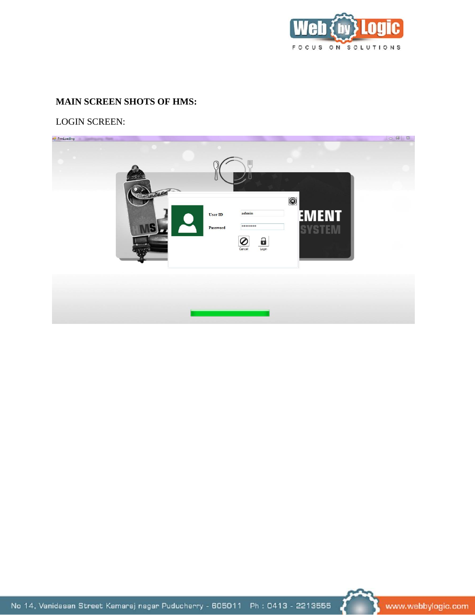

# **MAIN SCREEN SHOTS OF HMS:**

LOGIN SCREEN:





www.webbylogic.com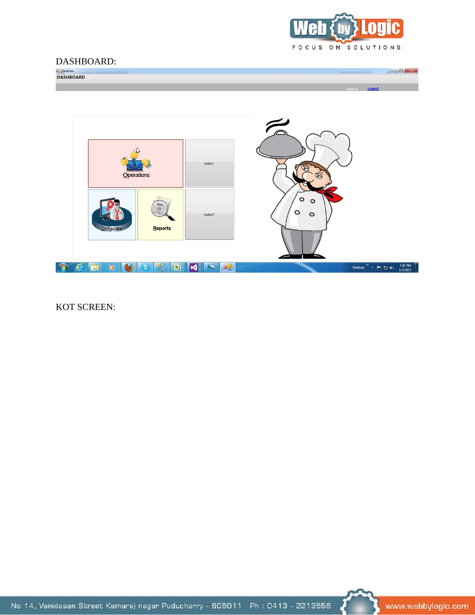

# DASHBOARD:

label1 Logout



KOT SCREEN:



www.webbylogic.com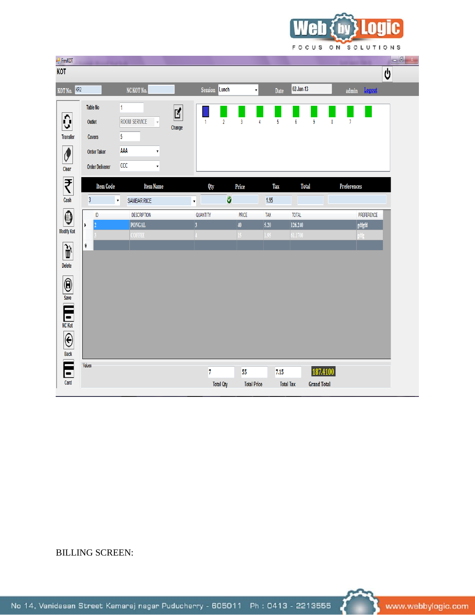

| $\frac{1}{2}$ FrmKOT          |                        |                                          |        |                           |                         |                    |      |                         |                 |                    |           |                     |            | $\begin{bmatrix} - & 0 & x \end{bmatrix}$ |
|-------------------------------|------------------------|------------------------------------------|--------|---------------------------|-------------------------|--------------------|------|-------------------------|-----------------|--------------------|-----------|---------------------|------------|-------------------------------------------|
| KOT                           |                        |                                          |        |                           |                         |                    |      |                         |                 |                    |           |                     |            | 0                                         |
| KOT No. KR2                   |                        | NC KOT No.                               |        | Session Lunch             |                         | $\vert$            |      | Date                    | 02-Jan-13       |                    |           | admin <b>Logout</b> |            |                                           |
|                               | <b>Table No</b>        | 1                                        |        |                           |                         |                    |      |                         |                 |                    |           |                     |            |                                           |
| Ĉ,                            | Outlet                 | <b>ROOM SERVICE</b>                      | Ľ      | $\mathbf{1}$              | $\overline{\mathbf{2}}$ | $\overline{3}$     | 4    | $\overline{\mathbf{5}}$ | $6\phantom{a}6$ | $\pmb{9}$          | $\pmb{8}$ | $\overline{7}$      |            |                                           |
| <b>Transfer</b>               | Covers                 | 5                                        | Change |                           |                         |                    |      |                         |                 |                    |           |                     |            |                                           |
| $\overline{\mathcal{O}}$      | <b>Order Taker</b>     | AAA<br>$\overline{\mathbf{v}}$           |        |                           |                         |                    |      |                         |                 |                    |           |                     |            |                                           |
| Clear                         | <b>Order Deliverer</b> | CCC<br>$\overline{\mathbf{v}}$           |        |                           |                         |                    |      |                         |                 |                    |           |                     |            |                                           |
| ₹                             | <b>Item Code</b>       | <b>Item Name</b>                         |        |                           |                         | Price              |      | <b>Tax</b>              | <b>Total</b>    |                    |           | Preferences         |            |                                           |
| Cash                          | $\overline{3}$         | <b>SAMBAR RICE</b><br>$\bar{\mathbf{v}}$ |        | Qty<br>$\bar{\mathbf{v}}$ | $\bullet$               |                    | 1.95 |                         |                 |                    |           |                     |            |                                           |
|                               | ID                     | <b>DESCRIPTION</b>                       |        | QUANTITY                  |                         | PRICE              | TAX  |                         | <b>TOTAL</b>    |                    |           |                     | PREFERENCE |                                           |
| ◉                             | ۱                      | <b>PONGAL</b>                            |        | $\overline{\mathbf{3}}$   |                         | 40 <sup>°</sup>    | 5.20 |                         | 126.240         |                    |           | gdfgfd              |            |                                           |
| <b>Modify Kot</b>             |                        | COFFEE                                   |        |                           |                         | $\overline{15}$    | 1.95 |                         | 61.1700         |                    |           | gdfg                |            |                                           |
|                               | $\ast$                 |                                          |        |                           |                         |                    |      |                         |                 |                    |           |                     |            |                                           |
| Delete                        |                        |                                          |        |                           |                         |                    |      |                         |                 |                    |           |                     |            |                                           |
|                               |                        |                                          |        |                           |                         |                    |      |                         |                 |                    |           |                     |            |                                           |
|                               |                        |                                          |        |                           |                         |                    |      |                         |                 |                    |           |                     |            |                                           |
|                               |                        |                                          |        |                           |                         |                    |      |                         |                 |                    |           |                     |            |                                           |
|                               |                        |                                          |        |                           |                         |                    |      |                         |                 |                    |           |                     |            |                                           |
|                               |                        |                                          |        |                           |                         |                    |      |                         |                 |                    |           |                     |            |                                           |
|                               |                        |                                          |        |                           |                         |                    |      |                         |                 |                    |           |                     |            |                                           |
| Save<br>Kater<br>Back<br>Back |                        |                                          |        |                           |                         |                    |      |                         |                 |                    |           |                     |            |                                           |
|                               | Values                 |                                          |        |                           |                         |                    |      |                         |                 |                    |           |                     |            |                                           |
| $\blacksquare$                |                        |                                          |        | $\overline{7}$            |                         | 55                 |      | $7.15$                  |                 | 187.4100           |           |                     |            |                                           |
| Card                          |                        |                                          |        |                           | <b>Total Qty</b>        | <b>Total Price</b> |      | <b>Total Tax</b>        |                 | <b>Grand Total</b> |           |                     |            |                                           |

# BILLING SCREEN:

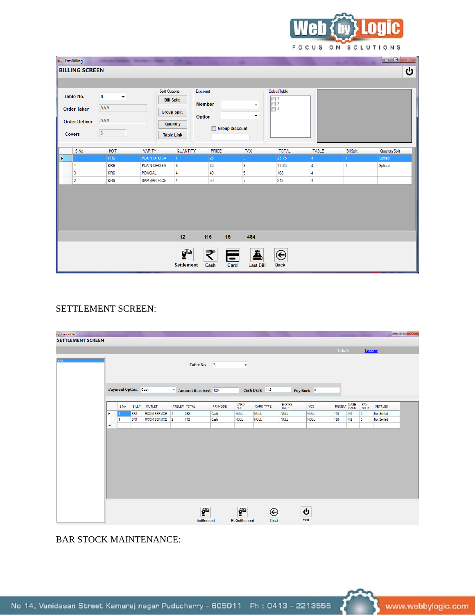

| ပ                     |
|-----------------------|
|                       |
|                       |
|                       |
|                       |
|                       |
|                       |
|                       |
| <b>Quantity Split</b> |
| Splited               |
| Splited               |
|                       |
|                       |
|                       |
|                       |
|                       |
|                       |
|                       |
|                       |
|                       |
|                       |
|                       |
|                       |
|                       |

# SETTLEMENT SCREEN:

| <b>SETTLEMENT SCREEN</b> |      |                     |                     |                      |                     |         |                      |                       |                |             |              |     |             |                |
|--------------------------|------|---------------------|---------------------|----------------------|---------------------|---------|----------------------|-----------------------|----------------|-------------|--------------|-----|-------------|----------------|
|                          |      |                     |                     |                      |                     |         |                      |                       |                |             | label1       |     | Logout      |                |
|                          |      |                     |                     |                      | Table No. 2         |         | $\blacktriangledown$ |                       |                |             |              |     |             |                |
|                          |      | Payment Option Cash |                     |                      | Amount Received 120 |         |                      | Cash Back 142         |                | Pay Back 0  |              |     |             |                |
|                          | S.No | BILL#               | OUTLET              | TABLE# TOTAL         |                     | PAYMODE | CARD<br>NO           | CARD TYPE             | EXPIRY<br>DATE | VCC         | RECEIVI CASH |     | PAY<br>BACK | <b>SETTLED</b> |
| ▸                        |      | BR <sub>1</sub>     | <b>ROOM SERVICE</b> | $\vert$ <sub>2</sub> | 262                 | Cash    | <b>NULL</b>          | <b>NULL</b>           | <b>NULL</b>    | <b>NULL</b> | 120          | 142 | 0           | Not Settled    |
|                          | 1    | BR <sub>1</sub>     | ROOM SERVICE 2      |                      | 142                 | Cash    | <b>NULL</b>          | <b>NULL</b>           | <b>NULL</b>    | <b>NULL</b> | 120          | 142 | $\bullet$   | Not Settled    |
|                          |      |                     |                     |                      |                     |         |                      |                       |                |             |              |     |             |                |
|                          |      |                     |                     |                      | $\mathbf{G}$        |         | ∲                    | $\boldsymbol{\Theta}$ |                | ტ           |              |     |             |                |

# BAR STOCK MAINTENANCE: